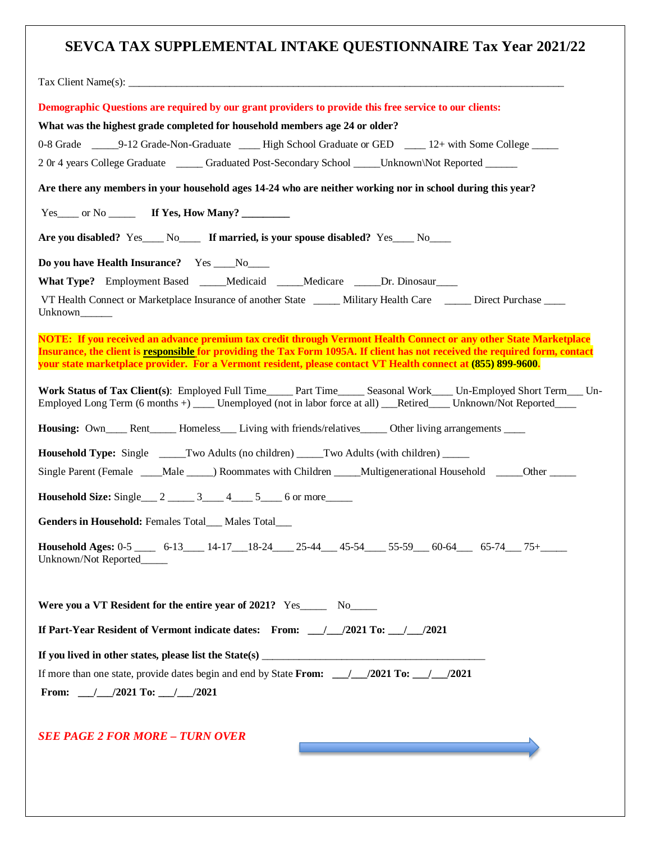## **SEVCA TAX SUPPLEMENTAL INTAKE QUESTIONNAIRE Tax Year 2021/22**

| Demographic Questions are required by our grant providers to provide this free service to our clients:                                                                                                                                                                                                                                                            |
|-------------------------------------------------------------------------------------------------------------------------------------------------------------------------------------------------------------------------------------------------------------------------------------------------------------------------------------------------------------------|
| What was the highest grade completed for household members age 24 or older?                                                                                                                                                                                                                                                                                       |
|                                                                                                                                                                                                                                                                                                                                                                   |
| 2 Or 4 years College Graduate ______ Graduated Post-Secondary School _____ Unknown\Not Reported ______                                                                                                                                                                                                                                                            |
| Are there any members in your household ages 14-24 who are neither working nor in school during this year?                                                                                                                                                                                                                                                        |
| Yes____ or No _______ If Yes, How Many? _________                                                                                                                                                                                                                                                                                                                 |
| Are you disabled? Yes____ No_____ If married, is your spouse disabled? Yes____ No____                                                                                                                                                                                                                                                                             |
| Do you have Health Insurance? Yes ___No___                                                                                                                                                                                                                                                                                                                        |
| What Type? Employment Based ____Medicaid ____Medicare _____Dr. Dinosaur____                                                                                                                                                                                                                                                                                       |
| VT Health Connect or Marketplace Insurance of another State ______ Military Health Care ______ Direct Purchase _____                                                                                                                                                                                                                                              |
| NOTE: If you received an advance premium tax credit through Vermont Health Connect or any other State Marketplace<br>Insurance, the client is responsible for providing the Tax Form 1095A. If client has not received the required form, contact<br>your state marketplace provider. For a Vermont resident, please contact VT Health connect at (855) 899-9600. |
| Work Status of Tax Client(s): Employed Full Time______ Part Time_______ Seasonal Work_____ Un-Employed Short Term____ Un-<br>Employed Long Term (6 months +) _____ Unemployed (not in labor force at all) ___Retired______ Unknown/Not Reported_____                                                                                                              |
| Housing: Own____Rent____Homeless___Living with friends/relatives_____Other living arrangements ____                                                                                                                                                                                                                                                               |
| <b>Household Type:</b> Single ______Two Adults (no children) _____Two Adults (with children) ______                                                                                                                                                                                                                                                               |
| Single Parent (Female _____Male _____) Roommates with Children _____Multigenerational Household _____Other _____                                                                                                                                                                                                                                                  |
| <b>Household Size:</b> Single $\_\_2$ $\_\_3\_\_4\_\_5$ $\_\_6$ or more                                                                                                                                                                                                                                                                                           |
| Genders in Household: Females Total___ Males Total___                                                                                                                                                                                                                                                                                                             |
| Household Ages: 0-5 _____ 6-13____ 14-17___18-24____ 25-44___ 45-54____ 55-59___ 60-64___ 65-74___ 75+_____<br>Unknown/Not Reported                                                                                                                                                                                                                               |
| Were you a VT Resident for the entire year of 2021? Yes No                                                                                                                                                                                                                                                                                                        |
| If Part-Year Resident of Vermont indicate dates: From: __/__/2021 To: __/__/2021                                                                                                                                                                                                                                                                                  |
|                                                                                                                                                                                                                                                                                                                                                                   |
|                                                                                                                                                                                                                                                                                                                                                                   |
| From: $\frac{1}{2021}$ To: $\frac{1}{2021}$                                                                                                                                                                                                                                                                                                                       |
| <b>SEE PAGE 2 FOR MORE - TURN OVER</b><br><u> 1980 - Johann Barn, mars an t-Amerikaansk kommunister (</u>                                                                                                                                                                                                                                                         |